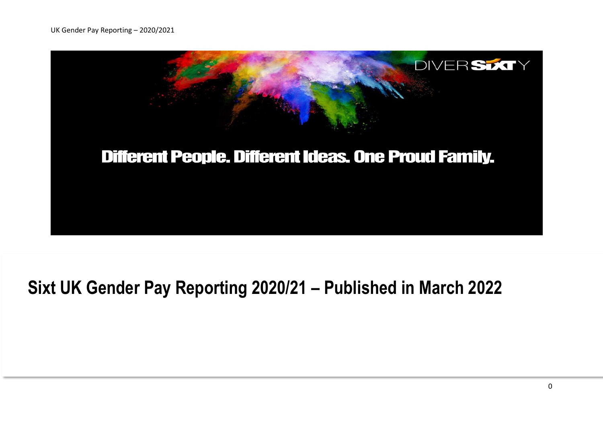

# **Sixt UK Gender Pay Reporting 2020/21 – Published in March 2022**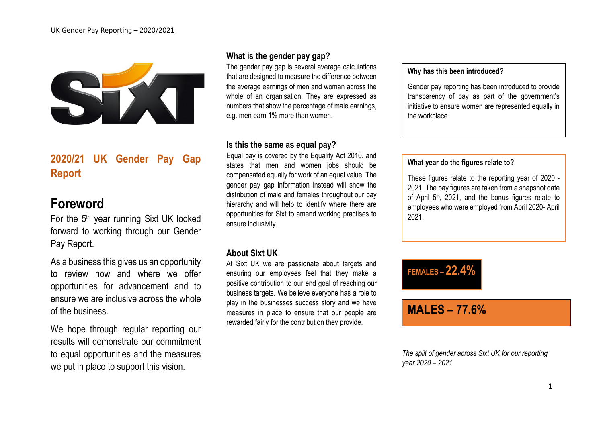

# **2020/21 UK Gender Pay Gap Report**

# **Foreword**

For the 5<sup>th</sup> year running Sixt UK looked forward to working through our Gender Pay Report.

As a business this gives us an opportunity to review how and where we offer opportunities for advancement and to ensure we are inclusive across the whole of the business.

We hope through regular reporting our results will demonstrate our commitment to equal opportunities and the measures we put in place to support this vision.

### **What is the gender pay gap?**

The gender pay gap is several average calculations that are designed to measure the difference between the average earnings of men and woman across the whole of an organisation. They are expressed as numbers that show the percentage of male earnings, e.g. men earn 1% more than women.

#### **Is this the same as equal pay?**

Equal pay is covered by the Equality Act 2010, and states that men and women jobs should be compensated equally for work of an equal value. The gender pay gap information instead will show the distribution of male and females throughout our pay hierarchy and will help to identify where there are opportunities for Sixt to amend working practises to ensure inclusivity.

#### **About Sixt UK**

At Sixt UK we are passionate about targets and ensuring our employees feel that they make a positive contribution to our end goal of reaching our business targets. We believe everyone has a role to play in the businesses success story and we have measures in place to ensure that our people are rewarded fairly for the contribution they provide.

#### **Why has this been introduced?**

Gender pay reporting has been introduced to provide transparency of pay as part of the government's initiative to ensure women are represented equally in the workplace.

#### **What year do the figures relate to?**

These figures relate to the reporting year of 2020 - 2021. The pay figures are taken from a snapshot date of April  $5<sup>th</sup>$ , 2021, and the bonus figures relate to employees who were employed from April 2020- April 2021.



# **MALES – 77.6%**

*The split of gender across Sixt UK for our reporting year 2020 – 2021.*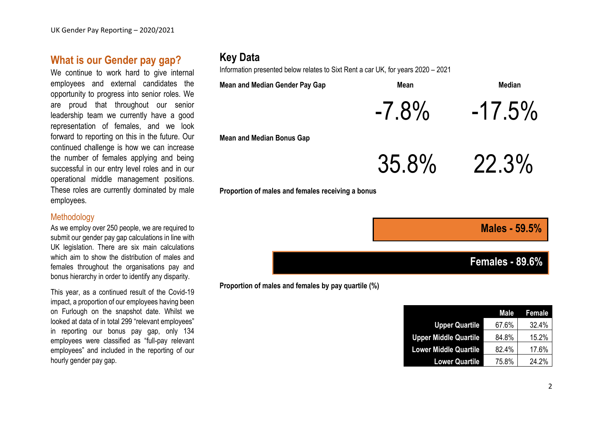### **What is our Gender pay gap?**

We continue to work hard to give internal employees and external candidates the opportunity to progress into senior roles. We are proud that throughout our senior leadership team we currently have a good representation of females, and we look forward to reporting on this in the future. Our continued challenge is how we can increase the number of females applying and being successful in our entry level roles and in our operational middle management positions. These roles are currently dominated by male employees.

#### **Methodology**

As we employ over 250 people, we are required to submit our gender pay gap calculations in line with UK legislation. There are six main calculations which aim to show the distribution of males and females throughout the organisations pay and bonus hierarchy in order to identify any disparity.

This year, as a continued result of the Covid-19 impact, a proportion of our employees having been on Furlough on the snapshot date. Whilst we looked at data of in total 299 "relevant employees" in reporting our bonus pay gap, only 134 employees were classified as "full-pay relevant employees" and included in the reporting of our hourly gender pay gap.

# **Key Data**

Information presented below relates to Sixt Rent a car UK, for years 2020 – 2021

**Proportion of males and females by pay quartile (%)** 

| <b>Mean and Median Gender Pay Gap</b>             | <b>Mean</b> | <b>Median</b>        |
|---------------------------------------------------|-------------|----------------------|
|                                                   | $-7.8\%$    | $-17.5\%$            |
| <b>Mean and Median Bonus Gap</b>                  |             |                      |
|                                                   | $35.8\%$    | 22.3%                |
| Proportion of males and females receiving a bonus |             |                      |
|                                                   |             |                      |
|                                                   |             | <b>Males - 59.5%</b> |

**Females - 89.6%**

|                              | Male  | <b>Female</b> |
|------------------------------|-------|---------------|
|                              |       |               |
| <b>Upper Quartile</b>        | 67.6% | 32.4%         |
| <b>Upper Middle Quartile</b> | 84.8% | 15.2%         |
| <b>Lower Middle Quartile</b> | 82.4% | 17.6%         |
| <b>Lower Quartile</b>        | 75.8% | 24.2%         |